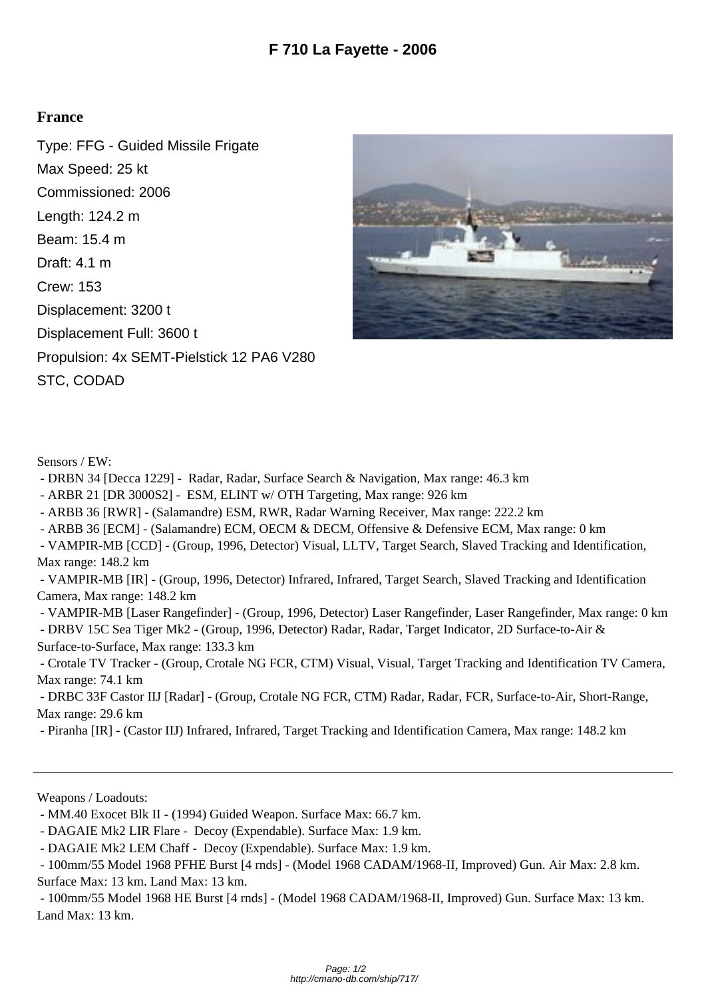## **France**

Type: FFG - Guided Missile Frigate Max Speed: 25 kt Commissioned: 2006 Length: 124.2 m Beam: 15.4 m Draft: 4.1 m Crew: 153 Displacement: 3200 t Displacement Full: 3600 t Propulsion: 4x SEMT-Pielstick 12 PA6 V280 STC, CODAD



Sensors / EW:

- DRBN 34 [Decca 1229] Radar, Radar, Surface Search & Navigation, Max range: 46.3 km
- ARBR 21 [DR 3000S2] ESM, ELINT w/ OTH Targeting, Max range: 926 km
- ARBB 36 [RWR] (Salamandre) ESM, RWR, Radar Warning Receiver, Max range: 222.2 km
- ARBB 36 [ECM] (Salamandre) ECM, OECM & DECM, Offensive & Defensive ECM, Max range: 0 km
- VAMPIR-MB [CCD] (Group, 1996, Detector) Visual, LLTV, Target Search, Slaved Tracking and Identification, Max range: 148.2 km

 - VAMPIR-MB [IR] - (Group, 1996, Detector) Infrared, Infrared, Target Search, Slaved Tracking and Identification Camera, Max range: 148.2 km

- VAMPIR-MB [Laser Rangefinder] (Group, 1996, Detector) Laser Rangefinder, Laser Rangefinder, Max range: 0 km
- DRBV 15C Sea Tiger Mk2 (Group, 1996, Detector) Radar, Radar, Target Indicator, 2D Surface-to-Air & Surface-to-Surface, Max range: 133.3 km

 - Crotale TV Tracker - (Group, Crotale NG FCR, CTM) Visual, Visual, Target Tracking and Identification TV Camera, Max range: 74.1 km

 - DRBC 33F Castor IIJ [Radar] - (Group, Crotale NG FCR, CTM) Radar, Radar, FCR, Surface-to-Air, Short-Range, Max range: 29.6 km

- Piranha [IR] - (Castor IIJ) Infrared, Infrared, Target Tracking and Identification Camera, Max range: 148.2 km

Weapons / Loadouts:

 - 100mm/55 Model 1968 HE Burst [4 rnds] - (Model 1968 CADAM/1968-II, Improved) Gun. Surface Max: 13 km. Land Max: 13 km.

 <sup>-</sup> MM.40 Exocet Blk II - (1994) Guided Weapon. Surface Max: 66.7 km.

 <sup>-</sup> DAGAIE Mk2 LIR Flare - Decoy (Expendable). Surface Max: 1.9 km.

 <sup>-</sup> DAGAIE Mk2 LEM Chaff - Decoy (Expendable). Surface Max: 1.9 km.

 <sup>- 100</sup>mm/55 Model 1968 PFHE Burst [4 rnds] - (Model 1968 CADAM/1968-II, Improved) Gun. Air Max: 2.8 km. Surface Max: 13 km. Land Max: 13 km.